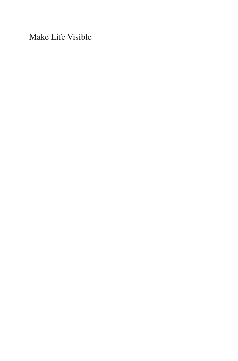Make Life Visible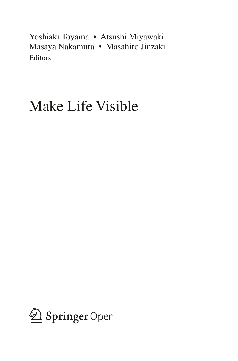Yoshiaki Toyama • Atsushi Miyawaki Masaya Nakamura • Masahiro Jinzaki Editors

# Make Life Visible

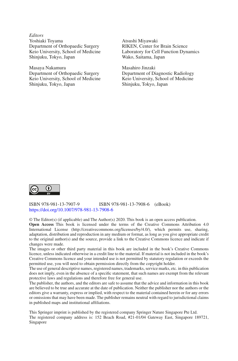*Editors* Yoshiaki Toyama Department of Orthopaedic Surgery Keio University, School of Medicine Shinjuku, Tokyo, Japan

Masaya Nakamura Department of Orthopaedic Surgery Keio University, School of Medicine Shinjuku, Tokyo, Japan

Atsushi Miyawaki RIKEN, Center for Brain Science Laboratory for Cell Function Dynamics Wako, Saitama, Japan

Masahiro Jinzaki Department of Diagnostic Radiology Keio University, School of Medicine Shinjuku, Tokyo, Japan



ISBN 978-981-13-7907-9 ISBN 978-981-13-7908-6 (eBook) <https://doi.org/10.1007/978-981-13-7908-6>

© The Editor(s) (if applicable) and The Author(s) 2020. This book is an open access publication.

**Open Access** This book is licensed under the terms of the Creative Commons Attribution 4.0 International License (http://creativecommons.org/licenses/by/4.0/), which permits use, sharing, adaptation, distribution and reproduction in any medium or format, as long as you give appropriate credit to the original author(s) and the source, provide a link to the Creative Commons licence and indicate if changes were made.

The images or other third party material in this book are included in the book's Creative Commons licence, unless indicated otherwise in a credit line to the material. If material is not included in the book's Creative Commons licence and your intended use is not permitted by statutory regulation or exceeds the permitted use, you will need to obtain permission directly from the copyright holder.

The use of general descriptive names, registered names, trademarks, service marks, etc. in this publication does not imply, even in the absence of a specific statement, that such names are exempt from the relevant protective laws and regulations and therefore free for general use.

The publisher, the authors, and the editors are safe to assume that the advice and information in this book are believed to be true and accurate at the date of publication. Neither the publisher nor the authors or the editors give a warranty, express or implied, with respect to the material contained herein or for any errors or omissions that may have been made. The publisher remains neutral with regard to jurisdictional claims in published maps and institutional affiliations.

This Springer imprint is published by the registered company Springer Nature Singapore Pte Ltd. The registered company address is: 152 Beach Road, #21-01/04 Gateway East, Singapore 189721, Singapore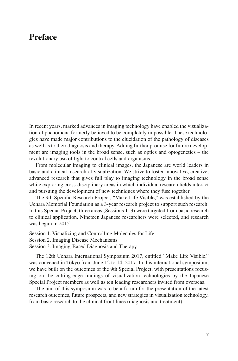## **Preface**

In recent years, marked advances in imaging technology have enabled the visualization of phenomena formerly believed to be completely impossible. These technologies have made major contributions to the elucidation of the pathology of diseases as well as to their diagnosis and therapy. Adding further promise for future development are imaging tools in the broad sense, such as optics and optogenetics – the revolutionary use of light to control cells and organisms.

From molecular imaging to clinical images, the Japanese are world leaders in basic and clinical research of visualization. We strive to foster innovative, creative, advanced research that gives full play to imaging technology in the broad sense while exploring cross-disciplinary areas in which individual research fields interact and pursuing the development of new techniques where they fuse together.

The 9th Specific Research Project, "Make Life Visible," was established by the Uehara Memorial Foundation as a 3-year research project to support such research. In this Special Project, three areas (Sessions 1–3) were targeted from basic research to clinical application. Nineteen Japanese researchers were selected, and research was begun in 2015.

Session 1. Visualizing and Controlling Molecules for Life

Session 2. Imaging Disease Mechanisms

Session 3. Imaging-Based Diagnosis and Therapy

The 12th Uehara International Symposium 2017, entitled "Make Life Visible," was convened in Tokyo from June 12 to 14, 2017. In this international symposium, we have built on the outcomes of the 9th Special Project, with presentations focusing on the cutting-edge findings of visualization technologies by the Japanese Special Project members as well as ten leading researchers invited from overseas.

The aim of this symposium was to be a forum for the presentation of the latest research outcomes, future prospects, and new strategies in visualization technology, from basic research to the clinical front lines (diagnosis and treatment).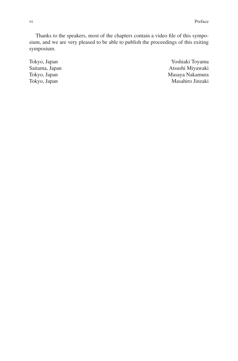Thanks to the speakers, most of the chapters contain a video file of this symposium, and we are very pleased to be able to publish the proceedings of this exiting symposium.

Tokyo, Japan Yoshiaki Toyama Saitama, Japan Atsushi Miyawaki <br>Tokyo, Japan Atsushi Masaya Nakamura Masaya Nakamura Tokyo, Japan Masahiro Jinzaki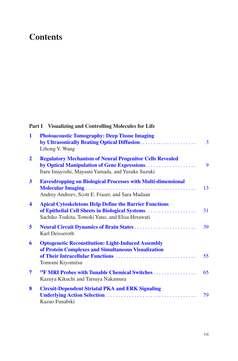## **Contents**

### **Part I Visualizing and Controlling Molecules for Life**

| $\mathbf{1}$         | <b>Photoacoustic Tomography: Deep Tissue Imaging</b><br>Lihong V. Wang                                                                                                   | 3  |
|----------------------|--------------------------------------------------------------------------------------------------------------------------------------------------------------------------|----|
| $\overline{2}$       | <b>Regulatory Mechanism of Neural Progenitor Cells Revealed</b><br>Itaru Imayoshi, Mayumi Yamada, and Yusuke Suzuki                                                      | 9  |
| 3                    | <b>Eavesdropping on Biological Processes with Multi-dimensional</b><br>Andrey Andreev, Scott E. Fraser, and Sara Madaan                                                  | 13 |
| $\blacktriangleleft$ | <b>Apical Cytoskeletons Help Define the Barrier Functions</b><br>Sachiko Tsukita, Tomoki Yano, and Elisa Herawati                                                        | 31 |
| 5                    | Karl Deisseroth                                                                                                                                                          | 39 |
| 6                    | <b>Optogenetic Reconstitution: Light-Induced Assembly</b><br>of Protein Complexes and Simultaneous Visualization<br>of Their Intracellular Functions<br>Tomomi Kiyomitsu | 55 |
| 7                    | <sup>19</sup> F MRI Probes with Tunable Chemical Switches<br>Kazuya Kikuchi and Tatsuya Nakamura                                                                         | 65 |
| 8                    | <b>Circuit-Dependent Striatal PKA and ERK Signaling</b><br>Kazuo Funabiki                                                                                                | 79 |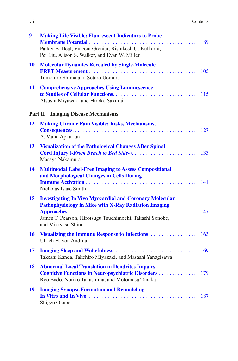| 9       | <b>Making Life Visible: Fluorescent Indicators to Probe</b><br>Parker E. Deal, Vincent Grenier, Rishikesh U. Kulkarni,<br>Pei Liu, Alison S. Walker, and Evan W. Miller                                          | 89  |
|---------|------------------------------------------------------------------------------------------------------------------------------------------------------------------------------------------------------------------|-----|
| 10      | <b>Molecular Dynamics Revealed by Single-Molecule</b><br>Tomohiro Shima and Sotaro Uemura                                                                                                                        | 105 |
| 11      | <b>Comprehensive Approaches Using Luminescence</b><br>Atsushi Miyawaki and Hiroko Sakurai                                                                                                                        | 115 |
| Part II | <b>Imaging Disease Mechanisms</b>                                                                                                                                                                                |     |
| 12      | <b>Making Chronic Pain Visible: Risks, Mechanisms,</b><br>A. Vania Apkarian                                                                                                                                      | 127 |
| 13      | <b>Visualization of the Pathological Changes After Spinal</b><br>Masaya Nakamura                                                                                                                                 | 133 |
| 14      | <b>Multimodal Label-Free Imaging to Assess Compositional</b><br>and Morphological Changes in Cells During<br>Nicholas Isaac Smith                                                                                | 141 |
| 15      | <b>Investigating In Vivo Myocardial and Coronary Molecular</b><br><b>Pathophysiology in Mice with X-Ray Radiation Imaging</b><br>James T. Pearson, Hirotsugu Tsuchimochi, Takashi Sonobe,<br>and Mikiyasu Shirai | 147 |
| 16      | Visualizing the Immune Response to Infections.<br>Ulrich H. von Andrian                                                                                                                                          | 163 |
| 17      | Takeshi Kanda, Takehiro Miyazaki, and Masashi Yanagisawa                                                                                                                                                         | 169 |
| 18      | <b>Abnormal Local Translation in Dendrites Impairs</b><br>Ryo Endo, Noriko Takashima, and Motomasa Tanaka                                                                                                        |     |
| 19      | <b>Imaging Synapse Formation and Remodeling</b><br>Shigeo Okabe                                                                                                                                                  | 187 |

viii